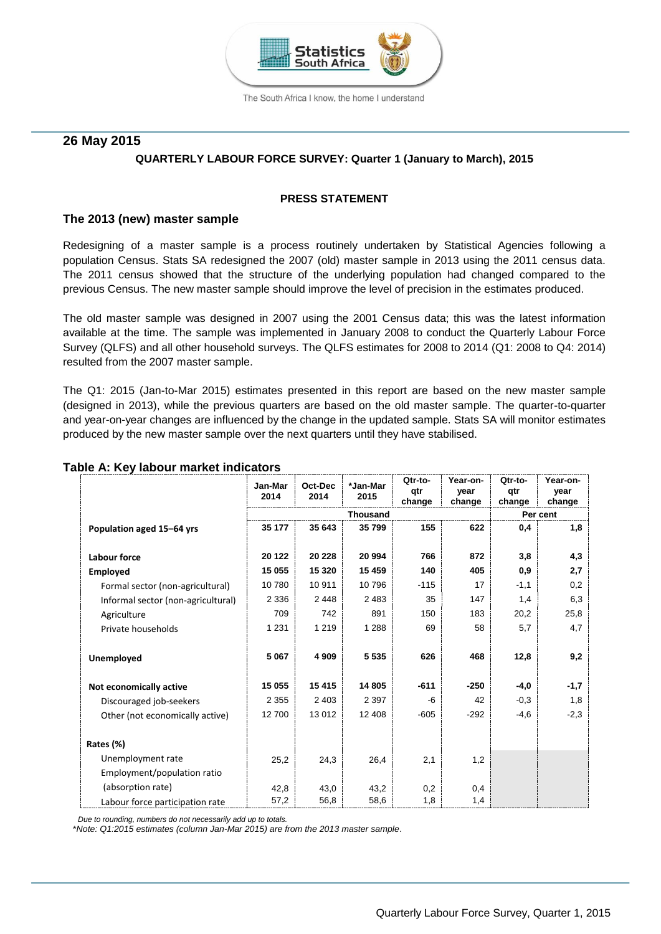

The South Africa I know, the home I understand

### **26 May 2015**

### **QUARTERLY LABOUR FORCE SURVEY: Quarter 1 (January to March), 2015**

#### **PRESS STATEMENT**

#### **The 2013 (new) master sample**

Redesigning of a master sample is a process routinely undertaken by Statistical Agencies following a population Census. Stats SA redesigned the 2007 (old) master sample in 2013 using the 2011 census data. The 2011 census showed that the structure of the underlying population had changed compared to the previous Census. The new master sample should improve the level of precision in the estimates produced.

The old master sample was designed in 2007 using the 2001 Census data; this was the latest information available at the time. The sample was implemented in January 2008 to conduct the Quarterly Labour Force Survey (QLFS) and all other household surveys. The QLFS estimates for 2008 to 2014 (Q1: 2008 to Q4: 2014) resulted from the 2007 master sample.

The Q1: 2015 (Jan-to-Mar 2015) estimates presented in this report are based on the new master sample (designed in 2013), while the previous quarters are based on the old master sample. The quarter-to-quarter and year-on-year changes are influenced by the change in the updated sample. Stats SA will monitor estimates produced by the new master sample over the next quarters until they have stabilised.

|                                    | Jan-Mar<br>2014 | Oct-Dec<br>2014 | *Jan-Mar<br>2015 | Qtr-to-<br>qtr<br>change | Year-on-<br>year<br>change | Qtr-to-<br>qtr<br>change | Year-on-<br>year<br>change |
|------------------------------------|-----------------|-----------------|------------------|--------------------------|----------------------------|--------------------------|----------------------------|
|                                    | <b>Thousand</b> |                 |                  |                          | Per cent                   |                          |                            |
| Population aged 15-64 yrs          | 35 177          | 35 643          | 35 799           | 155                      | 622                        | 0,4                      | 1,8                        |
| <b>Labour force</b>                | 20 122          | 20 228          | 20 994           | 766                      | 872                        | 3,8                      | 4,3                        |
| <b>Employed</b>                    | 15 055          | 15 3 20         | 15 4 59          | 140                      | 405                        | 0,9                      | 2,7                        |
| Formal sector (non-agricultural)   | 10780           | 10 911          | 10796            | $-115$                   | 17                         | $-1,1$                   | 0,2                        |
| Informal sector (non-agricultural) | 2 3 3 6         | 2448            | 2483             | 35                       | 147                        | 1,4                      | 6,3                        |
| Agriculture                        | 709             | 742             | 891              | 150                      | 183                        | 20,2                     | 25,8                       |
| Private households                 | 1 2 3 1         | 1 2 1 9         | 1 2 8 8          | 69                       | 58                         | 5,7                      | 4,7                        |
| <b>Unemployed</b>                  | 5 0 6 7         | 4 9 0 9         | 5 5 3 5          | 626                      | 468                        | 12,8                     | 9,2                        |
| Not economically active            | 15 055          | 15 415          | 14 805           | $-611$                   | $-250$                     | $-4,0$                   | $-1,7$                     |
| Discouraged job-seekers            | 2 3 5 5         | 2 4 0 3         | 2 3 9 7          | -6                       | 42                         | $-0,3$                   | 1,8                        |
| Other (not economically active)    | 12700           | 13 012          | 12 408           | $-605$                   | $-292$                     | $-4,6$                   | $-2,3$                     |
| Rates (%)                          |                 |                 |                  |                          |                            |                          |                            |
| Unemployment rate                  | 25,2            | 24,3            | 26,4             | 2,1                      | 1,2                        |                          |                            |
| Employment/population ratio        |                 |                 |                  |                          |                            |                          |                            |
| (absorption rate)                  | 42,8            | 43,0            | 43,2             | 0,2                      | 0,4                        |                          |                            |
| Labour force participation rate    | 57,2            | 56,8            | 58,6             | 1,8                      | 1,4                        |                          |                            |

#### **Table A: Key labour market indicators**

 *Due to rounding, numbers do not necessarily add up to totals.*

\**Note: Q1:2015 estimates (column Jan-Mar 2015) are from the 2013 master sample*.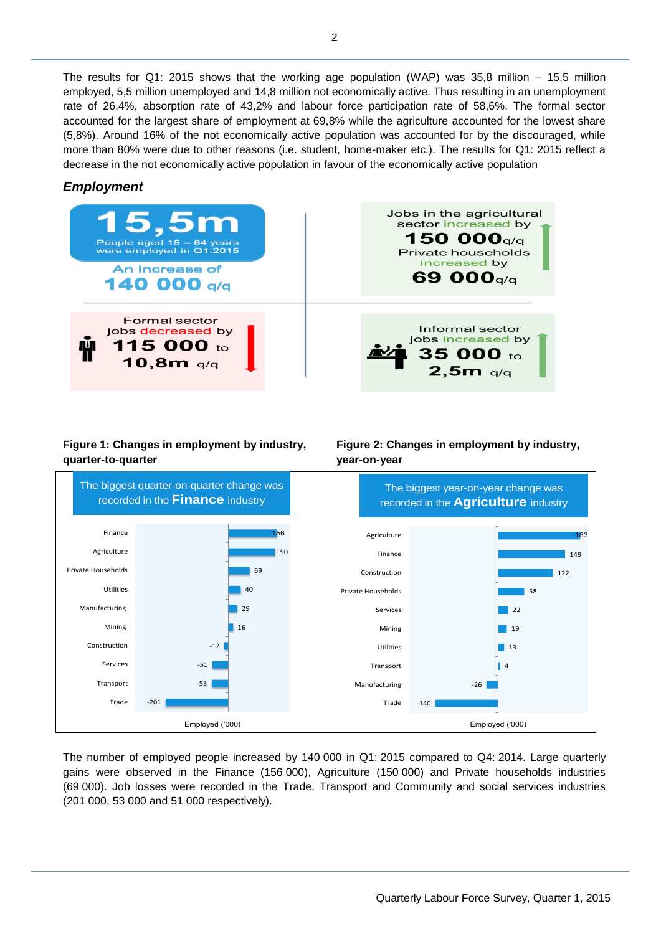The results for Q1: 2015 shows that the working age population (WAP) was 35,8 million – 15,5 million employed, 5,5 million unemployed and 14,8 million not economically active. Thus resulting in an unemployment rate of 26,4%, absorption rate of 43,2% and labour force participation rate of 58,6%. The formal sector accounted for the largest share of employment at 69,8% while the agriculture accounted for the lowest share (5,8%). Around 16% of the not economically active population was accounted for by the discouraged, while more than 80% were due to other reasons (i.e. student, home-maker etc.). The results for Q1: 2015 reflect a decrease in the not economically active population in favour of the economically active population

# *Employment*

| 15,5m<br>People aged $15 - 64$ years<br>were employed in Q1:2015<br>An Increase of<br>140 000 $q/q$ | Jobs in the agricultural<br>sector increased by<br>150 000 $q/q$<br>Private households<br>increased by<br>69 000 <sub>q/q</sub> |
|-----------------------------------------------------------------------------------------------------|---------------------------------------------------------------------------------------------------------------------------------|
| <b>Formal sector</b><br>jobs decreased by<br>115 000 to<br>10,8m q/q                                | Informal sector<br>jobs increased by<br>$\frac{1}{2}$ , 35 000 to 2,5m q/q                                                      |

# **Figure 1: Changes in employment by industry, quarter-to-quarter**



**year-on-year**

The number of employed people increased by 140 000 in Q1: 2015 compared to Q4: 2014. Large quarterly gains were observed in the Finance (156 000), Agriculture (150 000) and Private households industries (69 000). Job losses were recorded in the Trade, Transport and Community and social services industries (201 000, 53 000 and 51 000 respectively).

**Figure 2: Changes in employment by industry,**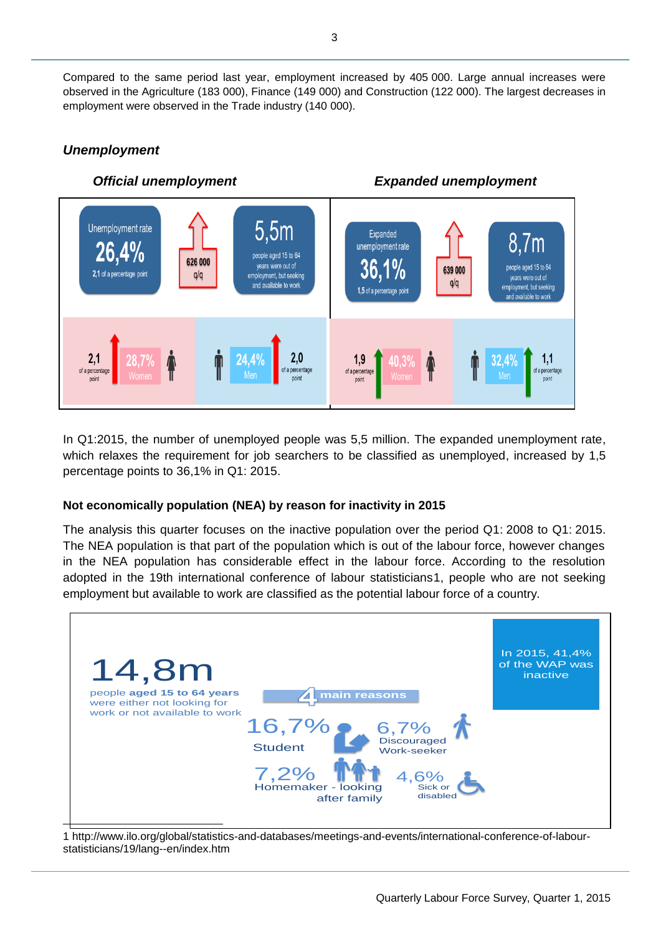Compared to the same period last year, employment increased by 405 000. Large annual increases were observed in the Agriculture (183 000), Finance (149 000) and Construction (122 000). The largest decreases in employment were observed in the Trade industry (140 000).

# *Unemployment*



In Q1:2015, the number of unemployed people was 5,5 million. The expanded unemployment rate, which relaxes the requirement for job searchers to be classified as unemployed, increased by 1,5 percentage points to 36,1% in Q1: 2015.

# **Not economically population (NEA) by reason for inactivity in 2015**

The analysis this quarter focuses on the inactive population over the period Q1: 2008 to Q1: 2015. The NEA population is that part of the population which is out of the labour force, however changes in the NEA population has considerable effect in the labour force. According to the resolution adopted in the 19th international conference of labour statisticians1, people who are not seeking employment but available to work are classified as the potential labour force of a country.



1 http://www.ilo.org/global/statistics-and-databases/meetings-and-events/international-conference-of-labourstatisticians/19/lang--en/index.htm